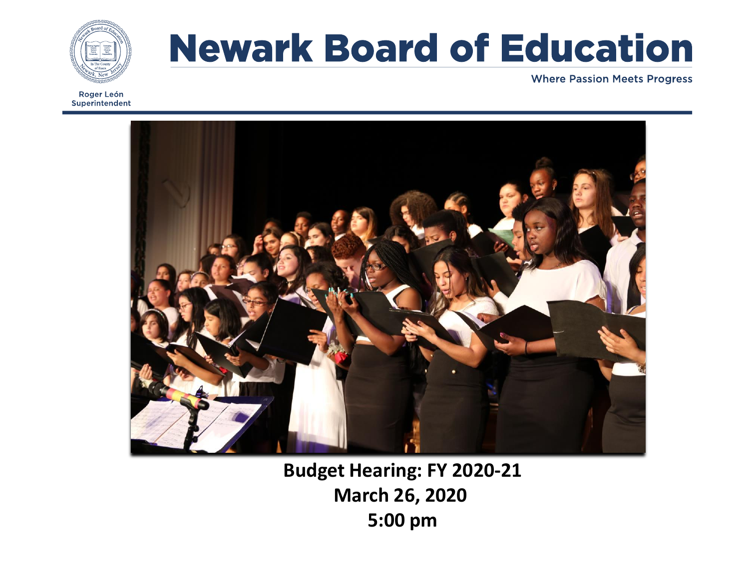

Roger León Superintendent

# **Newark Board of Education**

**Where Passion Meets Progress** 



**Budget Hearing: FY 2020-21 March 26, 2020 5:00 pm**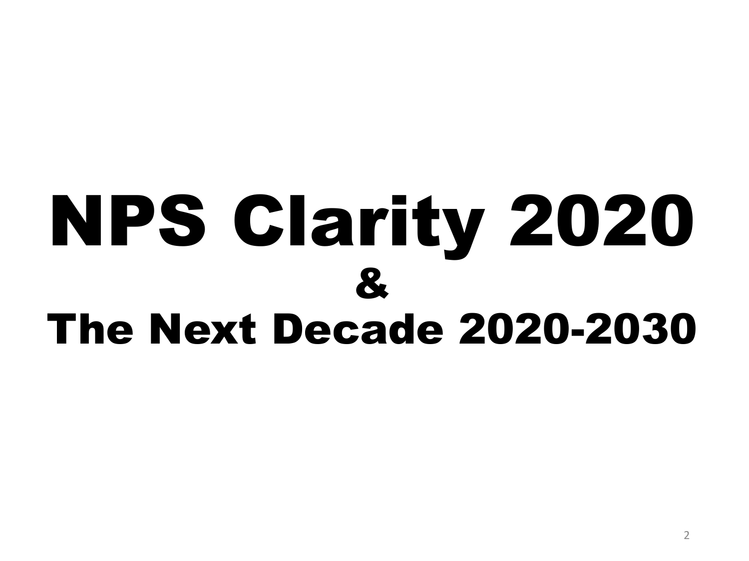# NPS Clarity 2020 & The Next Decade 2020-2030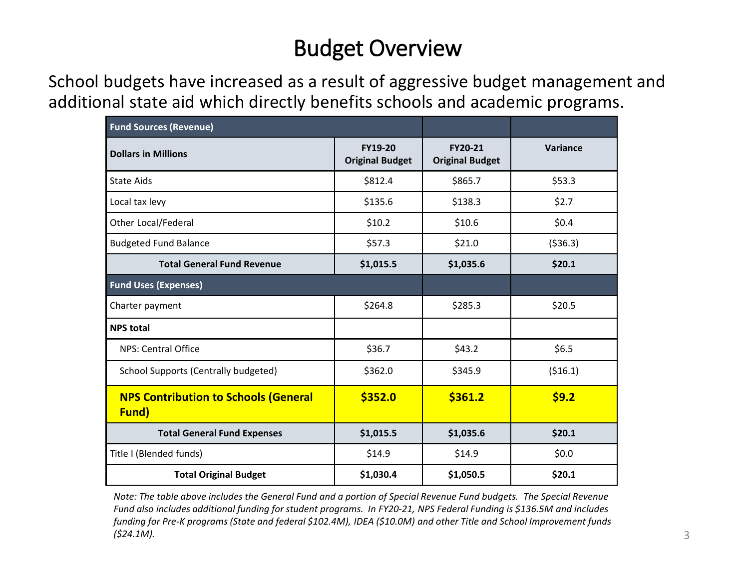## Budget Overview

School budgets have increased as a result of aggressive budget management and additional state aid which directly benefits schools and academic programs.

| <b>Fund Sources (Revenue)</b>                        |                                          |                                   |           |
|------------------------------------------------------|------------------------------------------|-----------------------------------|-----------|
| <b>Dollars in Millions</b>                           | <b>FY19-20</b><br><b>Original Budget</b> | FY20-21<br><b>Original Budget</b> | Variance  |
| <b>State Aids</b>                                    | \$812.4                                  | \$865.7                           | \$53.3    |
| Local tax levy                                       | \$135.6                                  | \$138.3                           | \$2.7     |
| Other Local/Federal                                  | \$10.2                                   | \$10.6                            | \$0.4     |
| <b>Budgeted Fund Balance</b>                         | \$57.3                                   | \$21.0                            | ( \$36.3) |
| <b>Total General Fund Revenue</b>                    | \$1,015.5                                | \$1,035.6                         | \$20.1    |
| <b>Fund Uses (Expenses)</b>                          |                                          |                                   |           |
| Charter payment                                      | \$264.8                                  | \$285.3                           | \$20.5    |
| <b>NPS total</b>                                     |                                          |                                   |           |
| NPS: Central Office                                  | \$36.7                                   | \$43.2                            | \$6.5     |
| School Supports (Centrally budgeted)                 | \$362.0                                  | \$345.9                           | ( \$16.1) |
| <b>NPS Contribution to Schools (General</b><br>Fund) | \$352.0                                  | \$361.2                           | \$9.2     |
| <b>Total General Fund Expenses</b>                   | \$1,015.5                                | \$1,035.6                         | \$20.1    |
| Title I (Blended funds)                              | \$14.9                                   | \$14.9                            | \$0.0\$   |
| <b>Total Original Budget</b>                         | \$1,030.4                                | \$1,050.5                         | \$20.1    |

*Note: The table above includes the General Fund and a portion of Special Revenue Fund budgets. The Special Revenue Fund also includes additional funding for student programs. In FY20-21, NPS Federal Funding is \$136.5M and includes funding for Pre-K programs (State and federal \$102.4M), IDEA (\$10.0M) and other Title and School Improvement funds (\$24.1M).*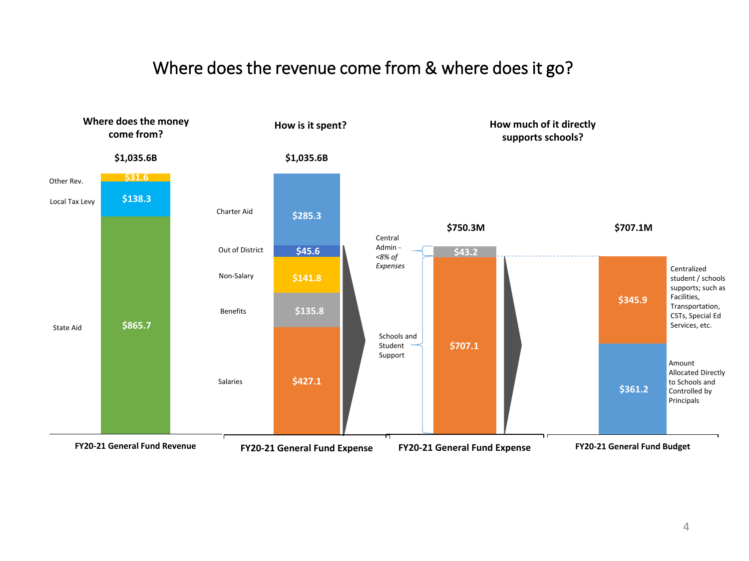#### Where does the revenue come from & where does it go?

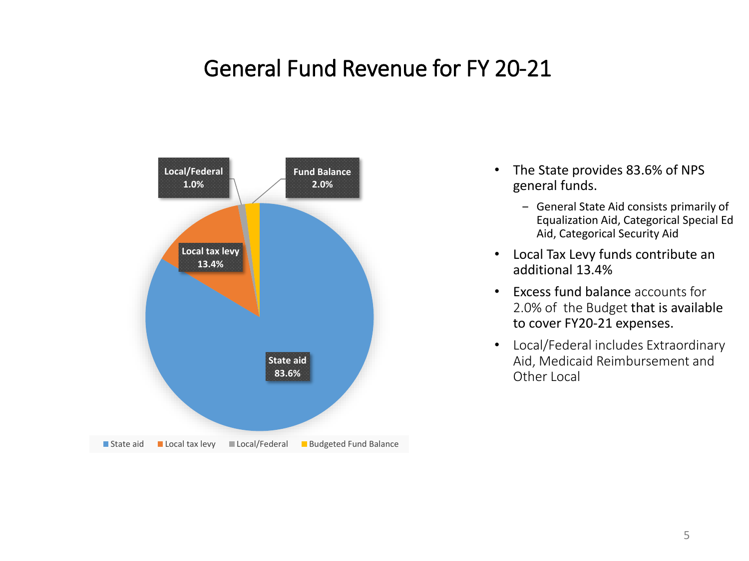#### General Fund Revenue for FY 20-21



- The State provides 83.6% of NPS general funds.
	- ‒ General State Aid consists primarily of Equalization Aid, Categorical Special Ed Aid, Categorical Security Aid
- Local Tax Levy funds contribute an additional 13.4%
- Excess fund balance accounts for 2.0% of the Budget that is available to cover FY20-21 expenses.
- Local/Federal includes Extraordinary Aid, Medicaid Reimbursement and Other Local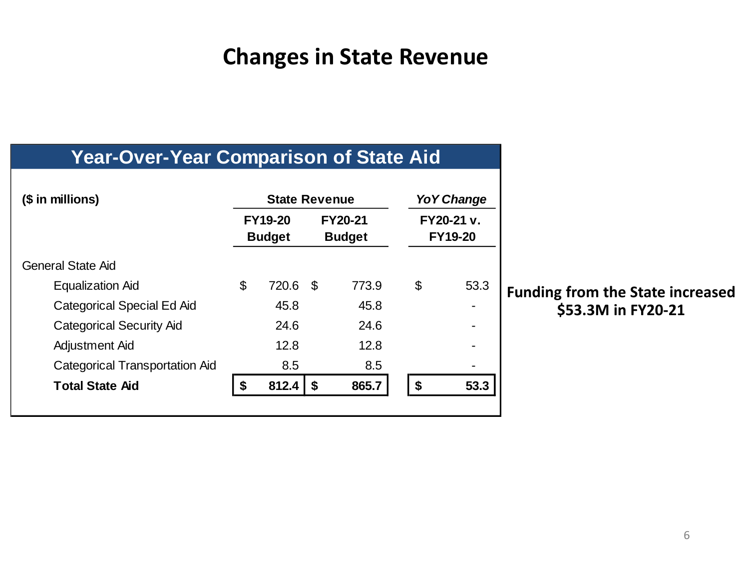#### **Changes in State Revenue**

#### **Year-Over-Year Comparison of State Aid**

| (\$ in millions)                      | <b>State Revenue</b> |                                 |      | Yo Y Change                     |    |                              |
|---------------------------------------|----------------------|---------------------------------|------|---------------------------------|----|------------------------------|
|                                       |                      | <b>FY19-20</b><br><b>Budget</b> |      | <b>FY20-21</b><br><b>Budget</b> |    | FY20-21 v.<br><b>FY19-20</b> |
| <b>General State Aid</b>              |                      |                                 |      |                                 |    |                              |
| <b>Equalization Aid</b>               | \$                   | 720.6                           | - \$ | 773.9                           | \$ | 53.3                         |
| Categorical Special Ed Aid            |                      | 45.8                            |      | 45.8                            |    |                              |
| <b>Categorical Security Aid</b>       |                      | 24.6                            |      | 24.6                            |    |                              |
| Adjustment Aid                        |                      | 12.8                            |      | 12.8                            |    |                              |
| <b>Categorical Transportation Aid</b> |                      | 8.5                             |      | 8.5                             |    |                              |
| <b>Total State Aid</b>                | \$                   | 812.4                           | \$   | 865.7                           | \$ | 53.3                         |
|                                       |                      |                                 |      |                                 |    |                              |

**Funding from the State increased \$53.3M in FY20-21**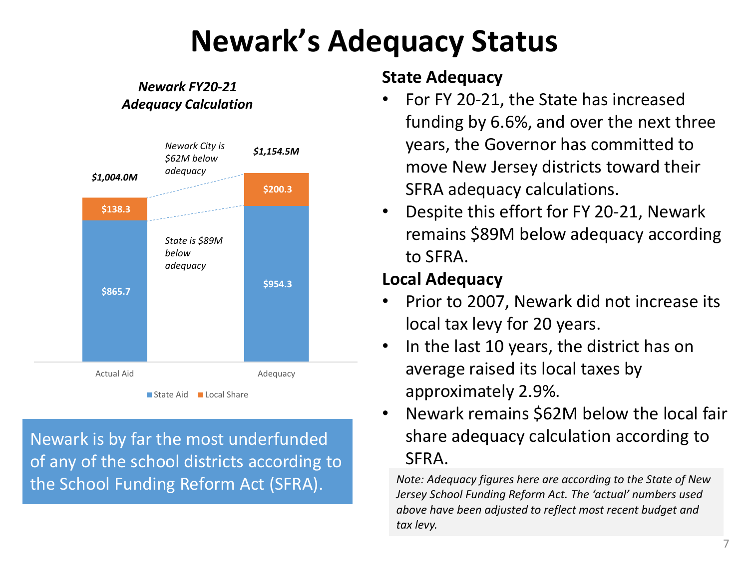## **Newark's Adequacy Status**

#### *Newark FY20-21 Adequacy Calculation*



Newark is by far the most underfunded of any of the school districts according to the School Funding Reform Act (SFRA).

#### **State Adequacy**

- For FY 20-21, the State has increased funding by 6.6%, and over the next three years, the Governor has committed to move New Jersey districts toward their SFRA adequacy calculations.
- Despite this effort for FY 20-21, Newark remains \$89M below adequacy according to SFRA.

#### **Local Adequacy**

- Prior to 2007, Newark did not increase its local tax levy for 20 years.
- In the last 10 years, the district has on average raised its local taxes by approximately 2.9%.
- Newark remains \$62M below the local fair share adequacy calculation according to SFRA.

*Note: Adequacy figures here are according to the State of New Jersey School Funding Reform Act. The 'actual' numbers used above have been adjusted to reflect most recent budget and tax levy.*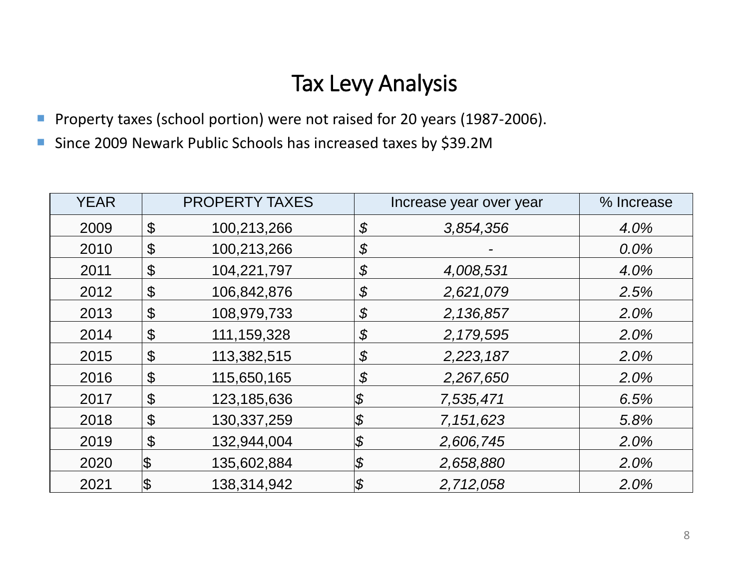#### Tax Levy Analysis

- **Property taxes (school portion) were not raised for 20 years (1987-2006).**
- Since 2009 Newark Public Schools has increased taxes by \$39.2M

| <b>YEAR</b> |                       | <b>PROPERTY TAXES</b> |                            | Increase year over year | % Increase |
|-------------|-----------------------|-----------------------|----------------------------|-------------------------|------------|
| 2009        | $\boldsymbol{\theta}$ | 100,213,266           | \$                         | 3,854,356               | 4.0%       |
| 2010        | \$                    | 100,213,266           | \$                         |                         | 0.0%       |
| 2011        | \$                    | 104,221,797           | \$                         | 4,008,531               | 4.0%       |
| 2012        | \$                    | 106,842,876           | \$                         | 2,621,079               | 2.5%       |
| 2013        | \$                    | 108,979,733           | \$                         | 2,136,857               | 2.0%       |
| 2014        | $\boldsymbol{\theta}$ | 111, 159, 328         | \$                         | 2,179,595               | 2.0%       |
| 2015        | $\boldsymbol{\theta}$ | 113,382,515           | \$                         | 2,223,187               | 2.0%       |
| 2016        | \$                    | 115,650,165           | \$                         | 2,267,650               | 2.0%       |
| 2017        | $\boldsymbol{\theta}$ | 123,185,636           | \$                         | 7,535,471               | 6.5%       |
| 2018        | $\boldsymbol{\theta}$ | 130,337,259           | $\boldsymbol{\mathcal{S}}$ | 7,151,623               | 5.8%       |
| 2019        | \$                    | 132,944,004           | \$                         | 2,606,745               | 2.0%       |
| 2020        | \$                    | 135,602,884           | \$                         | 2,658,880               | 2.0%       |
| 2021        | \$                    | 138,314,942           | \$                         | 2,712,058               | 2.0%       |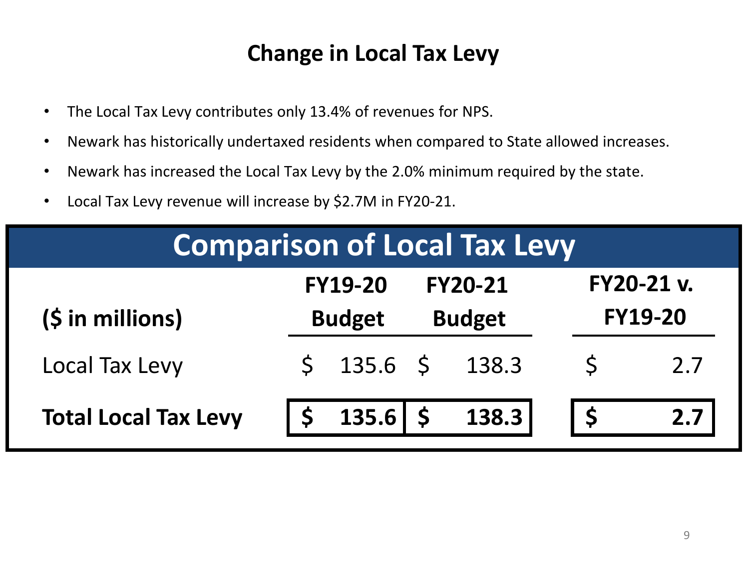#### **Change in Local Tax Levy**

- The Local Tax Levy contributes only 13.4% of revenues for NPS.
- Newark has historically undertaxed residents when compared to State allowed increases.
- Newark has increased the Local Tax Levy by the 2.0% minimum required by the state.
- Local Tax Levy revenue will increase by \$2.7M in FY20-21.

| <b>Comparison of Local Tax Levy</b>                                       |  |                                 |  |                                 |  |                                     |
|---------------------------------------------------------------------------|--|---------------------------------|--|---------------------------------|--|-------------------------------------|
| $(S \in \mathbb{N})$ in millions)                                         |  | <b>FY19-20</b><br><b>Budget</b> |  | <b>FY20-21</b><br><b>Budget</b> |  | <b>FY20-21 v.</b><br><b>FY19-20</b> |
| Local Tax Levy                                                            |  | $$135.6 \t$138.3$               |  |                                 |  | 2.7                                 |
| $135.6$   \$ $138.3$  <br><b>Total Local Tax Levy</b><br>2.7 <sub>1</sub> |  |                                 |  |                                 |  |                                     |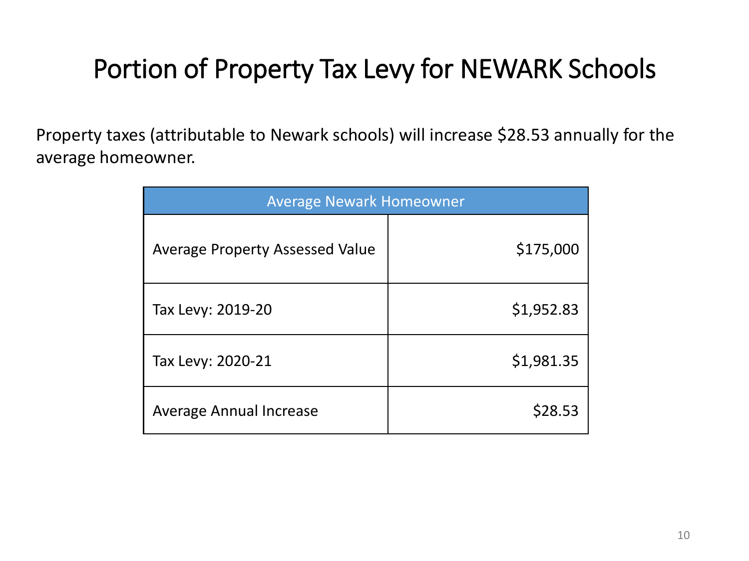## Portion of Property Tax Levy for NEWARK Schools

Property taxes (attributable to Newark schools) will increase \$28.53 annually for the average homeowner.

| <b>Average Newark Homeowner</b>        |            |  |  |
|----------------------------------------|------------|--|--|
| <b>Average Property Assessed Value</b> | \$175,000  |  |  |
| Tax Levy: 2019-20                      | \$1,952.83 |  |  |
| Tax Levy: 2020-21                      | \$1,981.35 |  |  |
| <b>Average Annual Increase</b>         | \$28.53    |  |  |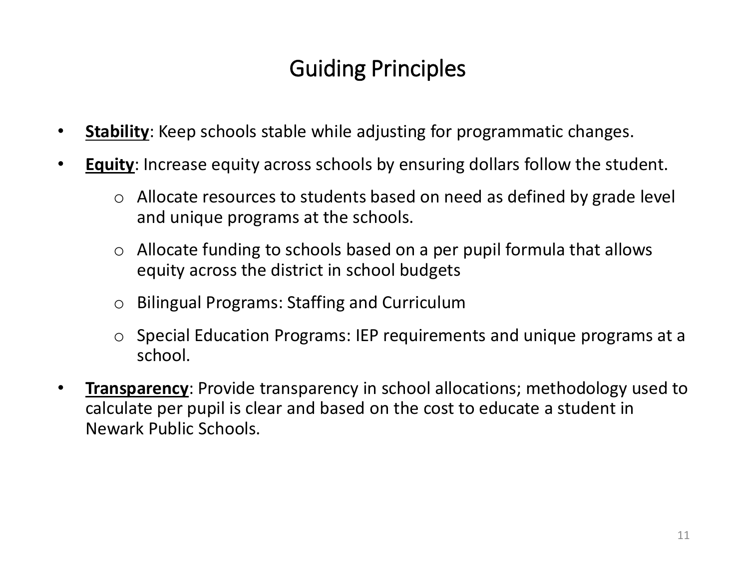### Guiding Principles

- **Stability:** Keep schools stable while adjusting for programmatic changes.
- **Equity**: Increase equity across schools by ensuring dollars follow the student.
	- o Allocate resources to students based on need as defined by grade level and unique programs at the schools.
	- $\circ$  Allocate funding to schools based on a per pupil formula that allows equity across the district in school budgets
	- o Bilingual Programs: Staffing and Curriculum
	- o Special Education Programs: IEP requirements and unique programs at a school.
- **Transparency**: Provide transparency in school allocations; methodology used to calculate per pupil is clear and based on the cost to educate a student in Newark Public Schools.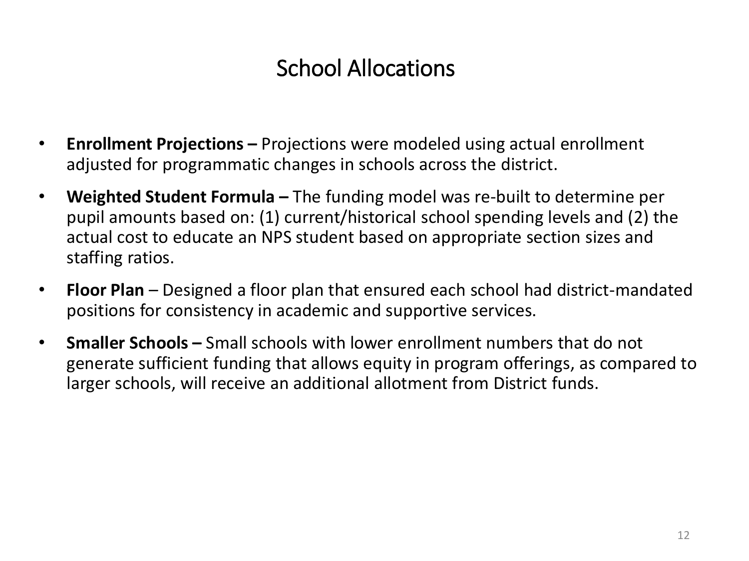## School Allocations

- **Enrollment Projections –** Projections were modeled using actual enrollment adjusted for programmatic changes in schools across the district.
- **Weighted Student Formula –** The funding model was re-built to determine per pupil amounts based on: (1) current/historical school spending levels and (2) the actual cost to educate an NPS student based on appropriate section sizes and staffing ratios.
- **Floor Plan**  Designed a floor plan that ensured each school had district-mandated positions for consistency in academic and supportive services.
- **Smaller Schools –** Small schools with lower enrollment numbers that do not generate sufficient funding that allows equity in program offerings, as compared to larger schools, will receive an additional allotment from District funds.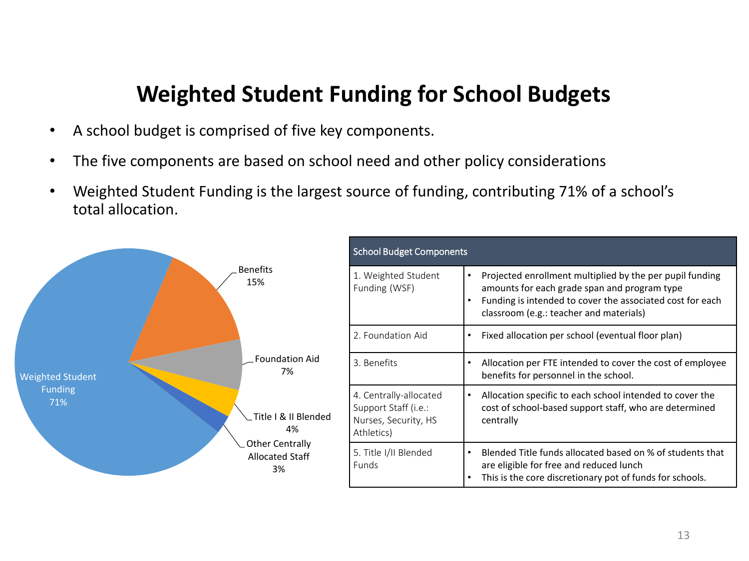#### **Weighted Student Funding for School Budgets**

- A school budget is comprised of five key components.
- The five components are based on school need and other policy considerations
- Weighted Student Funding is the largest source of funding, contributing 71% of a school's total allocation.

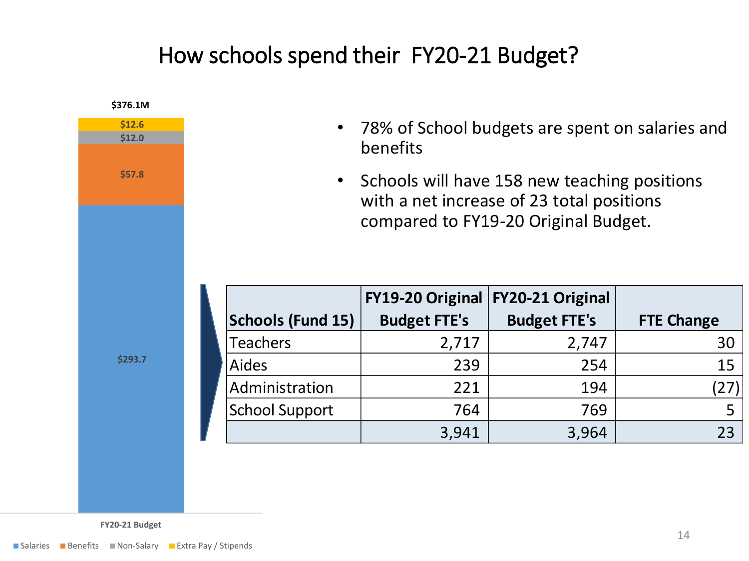#### How schools spend their FY20-21 Budget?



**FY20-21 Budget**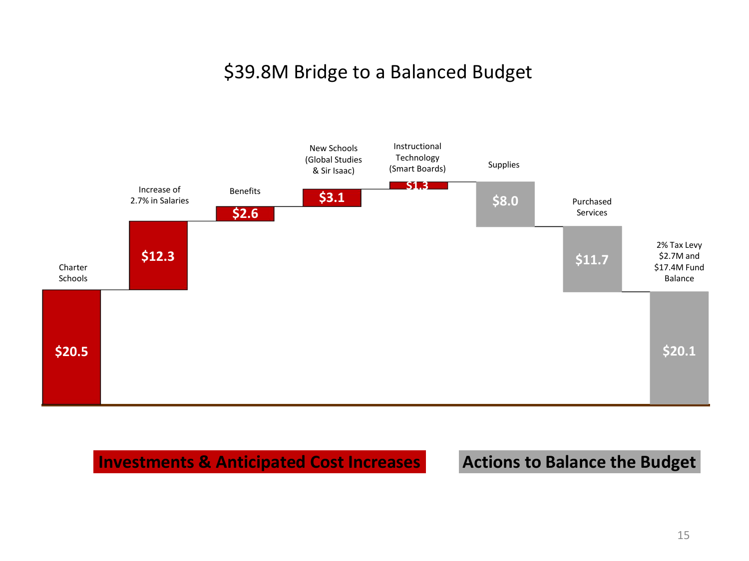#### \$39.8M Bridge to a Balanced Budget



**Investments & Anticipated Cost Increases**

#### **Actions to Balance the Budget**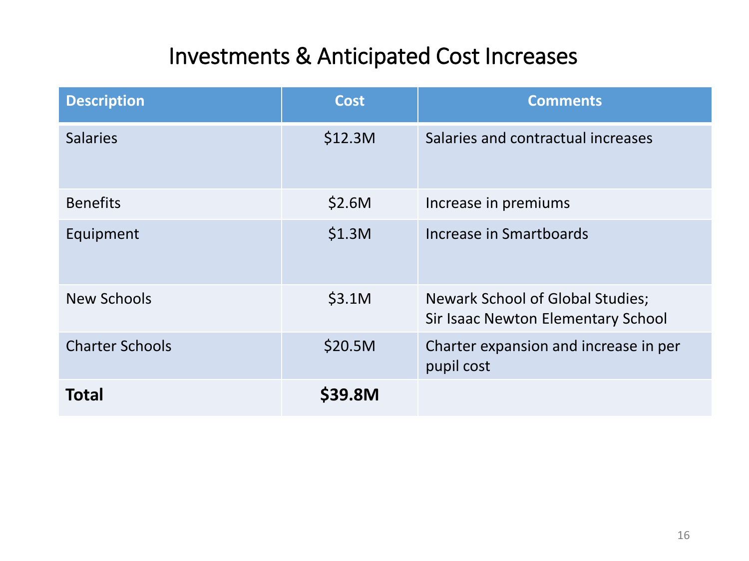## Investments & Anticipated Cost Increases

| <b>Description</b>     | <b>Cost</b> | <b>Comments</b>                                                        |
|------------------------|-------------|------------------------------------------------------------------------|
| <b>Salaries</b>        | \$12.3M     | Salaries and contractual increases                                     |
| <b>Benefits</b>        | \$2.6M      | Increase in premiums                                                   |
| Equipment              | \$1.3M      | Increase in Smartboards                                                |
| New Schools            | \$3.1M      | Newark School of Global Studies;<br>Sir Isaac Newton Elementary School |
| <b>Charter Schools</b> | \$20.5M     | Charter expansion and increase in per<br>pupil cost                    |
| <b>Total</b>           | \$39.8M     |                                                                        |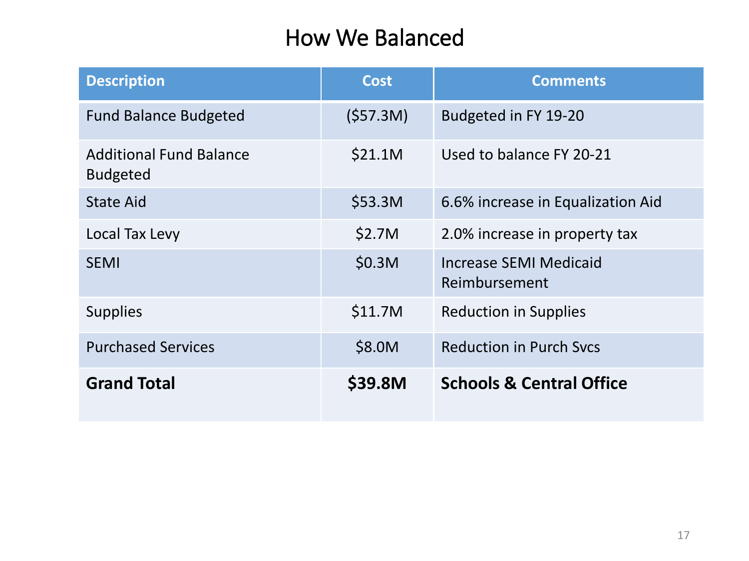#### How We Balanced

| <b>Description</b>                                | <b>Cost</b> | <b>Comments</b>                         |
|---------------------------------------------------|-------------|-----------------------------------------|
| <b>Fund Balance Budgeted</b>                      | (557.3M)    | Budgeted in FY 19-20                    |
| <b>Additional Fund Balance</b><br><b>Budgeted</b> | \$21.1M     | Used to balance FY 20-21                |
| <b>State Aid</b>                                  | \$53.3M     | 6.6% increase in Equalization Aid       |
| Local Tax Levy                                    | \$2.7M      | 2.0% increase in property tax           |
| <b>SEMI</b>                                       | \$0.3M      | Increase SEMI Medicaid<br>Reimbursement |
| <b>Supplies</b>                                   | \$11.7M     | <b>Reduction in Supplies</b>            |
| <b>Purchased Services</b>                         | \$8.0M      | <b>Reduction in Purch Sycs</b>          |
| <b>Grand Total</b>                                | \$39.8M     | <b>Schools &amp; Central Office</b>     |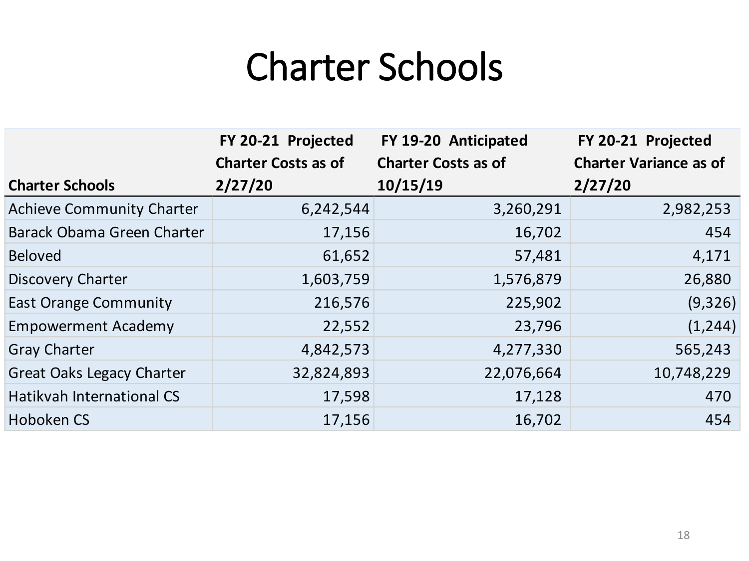# Charter Schools

|                                  | FY 20-21 Projected         | FY 19-20 Anticipated       | FY 20-21 Projected            |
|----------------------------------|----------------------------|----------------------------|-------------------------------|
|                                  | <b>Charter Costs as of</b> | <b>Charter Costs as of</b> | <b>Charter Variance as of</b> |
| <b>Charter Schools</b>           | 2/27/20                    | 10/15/19                   | 2/27/20                       |
| <b>Achieve Community Charter</b> | 6,242,544                  | 3,260,291                  | 2,982,253                     |
| Barack Obama Green Charter       | 17,156                     | 16,702                     | 454                           |
| <b>Beloved</b>                   | 61,652                     | 57,481                     | 4,171                         |
| Discovery Charter                | 1,603,759                  | 1,576,879                  | 26,880                        |
| <b>East Orange Community</b>     | 216,576                    | 225,902                    | (9, 326)                      |
| <b>Empowerment Academy</b>       | 22,552                     | 23,796                     | (1, 244)                      |
| <b>Gray Charter</b>              | 4,842,573                  | 4,277,330                  | 565,243                       |
| <b>Great Oaks Legacy Charter</b> | 32,824,893                 | 22,076,664                 | 10,748,229                    |
| Hatikvah International CS        | 17,598                     | 17,128                     | 470                           |
| Hoboken CS                       | 17,156                     | 16,702                     | 454                           |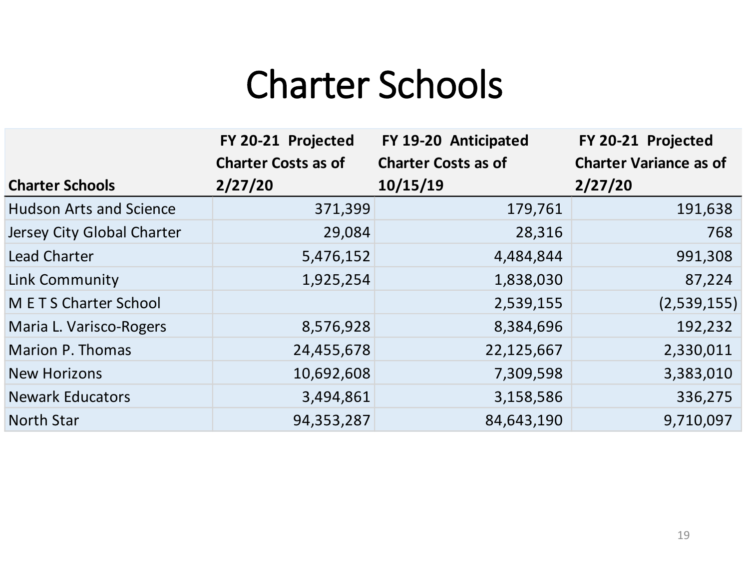# Charter Schools

|                                | FY 20-21 Projected         | FY 19-20 Anticipated       | FY 20-21 Projected            |
|--------------------------------|----------------------------|----------------------------|-------------------------------|
|                                | <b>Charter Costs as of</b> | <b>Charter Costs as of</b> | <b>Charter Variance as of</b> |
| <b>Charter Schools</b>         | 2/27/20                    | 10/15/19                   | 2/27/20                       |
| <b>Hudson Arts and Science</b> | 371,399                    | 179,761                    | 191,638                       |
| Jersey City Global Charter     | 29,084                     | 28,316                     | 768                           |
| Lead Charter                   | 5,476,152                  | 4,484,844                  | 991,308                       |
| Link Community                 | 1,925,254                  | 1,838,030                  | 87,224                        |
| <b>METS Charter School</b>     |                            | 2,539,155                  | (2,539,155)                   |
| Maria L. Varisco-Rogers        | 8,576,928                  | 8,384,696                  | 192,232                       |
| <b>Marion P. Thomas</b>        | 24,455,678                 | 22,125,667                 | 2,330,011                     |
| <b>New Horizons</b>            | 10,692,608                 | 7,309,598                  | 3,383,010                     |
| <b>Newark Educators</b>        | 3,494,861                  | 3,158,586                  | 336,275                       |
| <b>North Star</b>              | 94,353,287                 | 84,643,190                 | 9,710,097                     |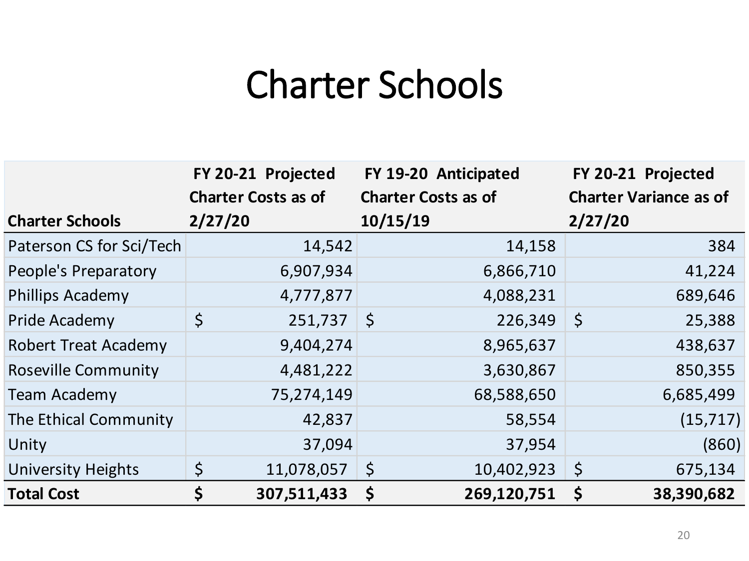# Charter Schools

|                             | FY 20-21 Projected<br><b>Charter Costs as of</b> | FY 19-20 Anticipated<br><b>Charter Costs as of</b> | FY 20-21 Projected<br><b>Charter Variance as of</b> |
|-----------------------------|--------------------------------------------------|----------------------------------------------------|-----------------------------------------------------|
| <b>Charter Schools</b>      | 2/27/20                                          | 10/15/19                                           | 2/27/20                                             |
| Paterson CS for Sci/Tech    | 14,542                                           | 14,158                                             | 384                                                 |
| People's Preparatory        | 6,907,934                                        | 6,866,710                                          | 41,224                                              |
| <b>Phillips Academy</b>     | 4,777,877                                        | 4,088,231                                          | 689,646                                             |
| Pride Academy               | $\zeta$<br>251,737                               | $\zeta$<br>226,349                                 | $\zeta$<br>25,388                                   |
| <b>Robert Treat Academy</b> | 9,404,274                                        | 8,965,637                                          | 438,637                                             |
| <b>Roseville Community</b>  | 4,481,222                                        | 3,630,867                                          | 850,355                                             |
| <b>Team Academy</b>         | 75,274,149                                       | 68,588,650                                         | 6,685,499                                           |
| The Ethical Community       | 42,837                                           | 58,554                                             | (15, 717)                                           |
| Unity                       | 37,094                                           | 37,954                                             | (860)                                               |
| <b>University Heights</b>   | $\varsigma$<br>11,078,057                        | $\zeta$<br>10,402,923                              | $\varsigma$<br>675,134                              |
| <b>Total Cost</b>           | \$<br>307,511,433                                | 269,120,751<br>\$                                  | \$<br>38,390,682                                    |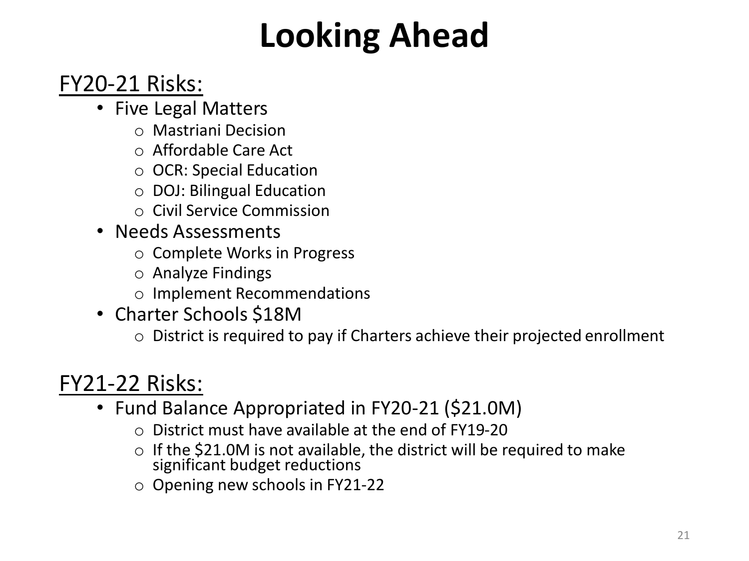# **Looking Ahead**

## FY20-21 Risks:

- Five Legal Matters
	- o Mastriani Decision
	- o Affordable Care Act
	- o OCR: Special Education
	- o DOJ: Bilingual Education
	- o Civil Service Commission
- Needs Assessments
	- o Complete Works in Progress
	- o Analyze Findings
	- o Implement Recommendations
- Charter Schools \$18M
	- o District is required to pay if Charters achieve their projected enrollment

## FY21-22 Risks:

- Fund Balance Appropriated in FY20-21 (\$21.0M)
	- $\circ$  District must have available at the end of FY19-20
	- $\circ$  If the \$21.0M is not available, the district will be required to make significant budget reductions
	- o Opening new schools in FY21-22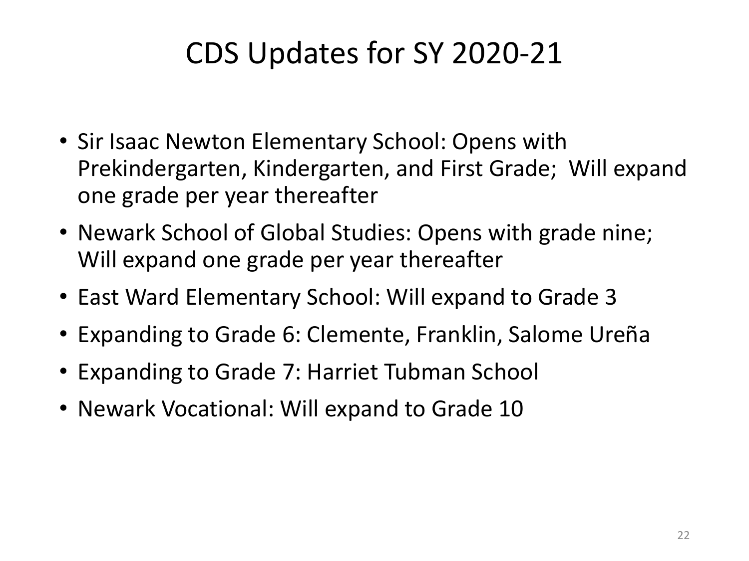## CDS Updates for SY 2020-21

- Sir Isaac Newton Elementary School: Opens with Prekindergarten, Kindergarten, and First Grade; Will expand one grade per year thereafter
- Newark School of Global Studies: Opens with grade nine; Will expand one grade per year thereafter
- East Ward Elementary School: Will expand to Grade 3
- Expanding to Grade 6: Clemente, Franklin, Salome Ureña
- Expanding to Grade 7: Harriet Tubman School
- Newark Vocational: Will expand to Grade 10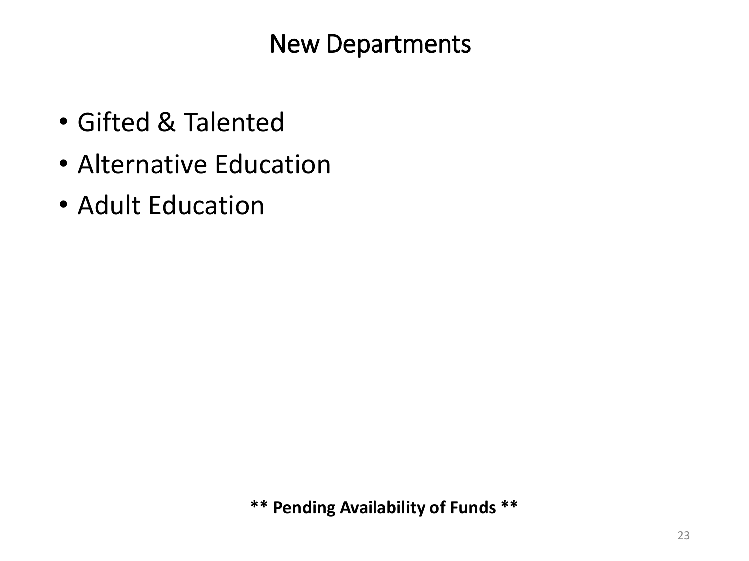New Departments

- Gifted & Talented
- Alternative Education
- Adult Education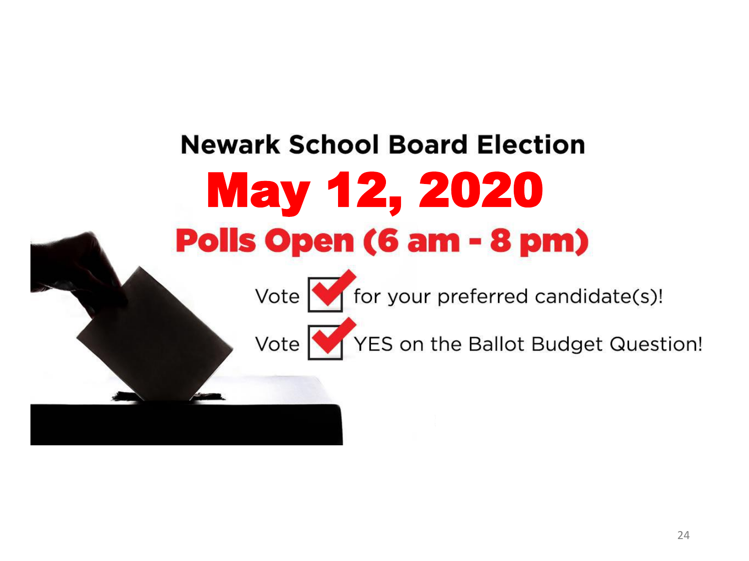# **Newark School Board Election** May 12, 2020 **Polls Open (6 am - 8 pm)**





Vote YES on the Ballot Budget Question!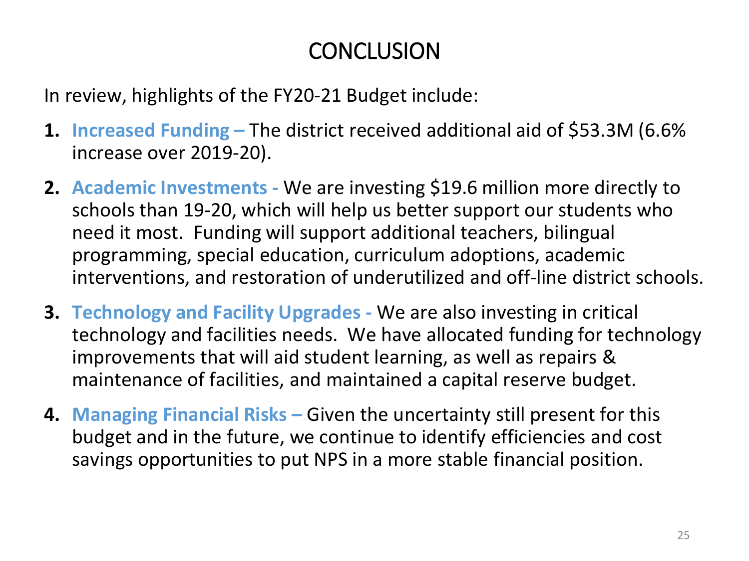## **CONCLUSION**

In review, highlights of the FY20-21 Budget include:

- **1. Increased Funding –** The district received additional aid of \$53.3M (6.6% increase over 2019-20).
- **2. Academic Investments -** We are investing \$19.6 million more directly to schools than 19-20, which will help us better support our students who need it most. Funding will support additional teachers, bilingual programming, special education, curriculum adoptions, academic interventions, and restoration of underutilized and off-line district schools.
- **3. Technology and Facility Upgrades -** We are also investing in critical technology and facilities needs. We have allocated funding for technology improvements that will aid student learning, as well as repairs & maintenance of facilities, and maintained a capital reserve budget.
- **4. Managing Financial Risks –** Given the uncertainty still present for this budget and in the future, we continue to identify efficiencies and cost savings opportunities to put NPS in a more stable financial position.